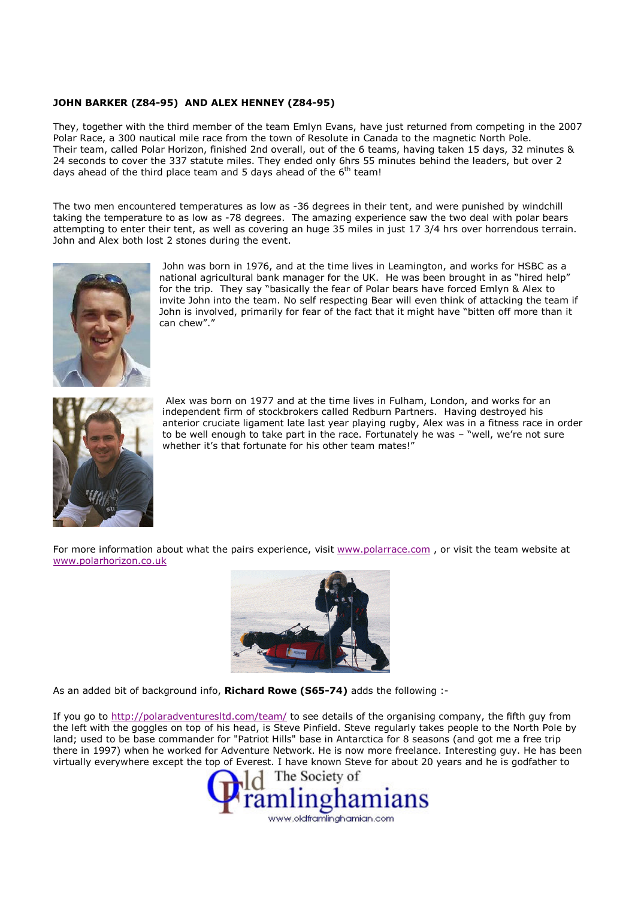## JOHN BARKER (Z84-95) AND ALEX HENNEY (Z84-95)

They, together with the third member of the team Emlyn Evans, have just returned from competing in the 2007 Polar Race, a 300 nautical mile race from the town of Resolute in Canada to the magnetic North Pole. Their team, called Polar Horizon, finished 2nd overall, out of the 6 teams, having taken 15 days, 32 minutes & 24 seconds to cover the 337 statute miles. They ended only 6hrs 55 minutes behind the leaders, but over 2 days ahead of the third place team and 5 days ahead of the  $6<sup>th</sup>$  team!

The two men encountered temperatures as low as -36 degrees in their tent, and were punished by windchill taking the temperature to as low as -78 degrees. The amazing experience saw the two deal with polar bears attempting to enter their tent, as well as covering an huge 35 miles in just 17 3/4 hrs over horrendous terrain. John and Alex both lost 2 stones during the event.



 John was born in 1976, and at the time lives in Leamington, and works for HSBC as a national agricultural bank manager for the UK. He was been brought in as "hired help" for the trip. They say "basically the fear of Polar bears have forced Emlyn & Alex to invite John into the team. No self respecting Bear will even think of attacking the team if John is involved, primarily for fear of the fact that it might have "bitten off more than it can chew"."



 Alex was born on 1977 and at the time lives in Fulham, London, and works for an independent firm of stockbrokers called Redburn Partners. Having destroyed his anterior cruciate ligament late last year playing rugby, Alex was in a fitness race in order to be well enough to take part in the race. Fortunately he was – "well, we're not sure whether it's that fortunate for his other team mates!"

For more information about what the pairs experience, visit www.polarrace.com, or visit the team website at www.polarhorizon.co.uk



As an added bit of background info, Richard Rowe (S65-74) adds the following :-

If you go to http://polaradventuresltd.com/team/ to see details of the organising company, the fifth guy from the left with the goggles on top of his head, is Steve Pinfield. Steve regularly takes people to the North Pole by land; used to be base commander for "Patriot Hills" base in Antarctica for 8 seasons (and got me a free trip there in 1997) when he worked for Adventure Network. He is now more freelance. Interesting guy. He has been virtually everywhere except the top of Everest. I have known Steve for about 20 years and he is godfather to